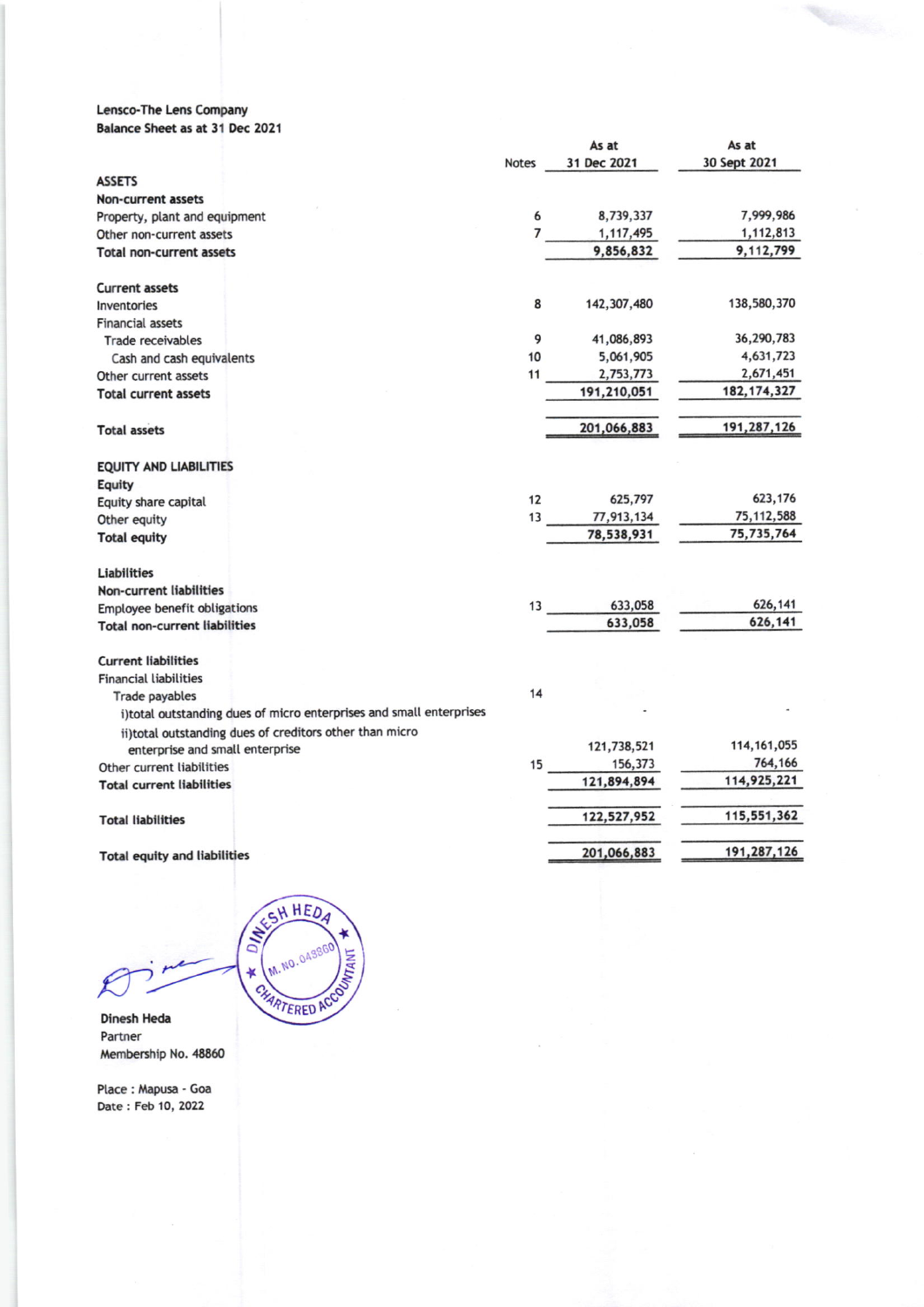## Lensco-The Lens Company Balance Sheet as at 31 Dec 2021

|                                                                     |                | As at       | As at         |
|---------------------------------------------------------------------|----------------|-------------|---------------|
|                                                                     | <b>Notes</b>   | 31 Dec 2021 | 30 Sept 2021  |
| <b>ASSETS</b>                                                       |                |             |               |
| <b>Non-current assets</b>                                           |                |             |               |
| Property, plant and equipment                                       | 6              | 8,739,337   | 7,999,986     |
| Other non-current assets                                            | $\overline{7}$ | 1,117,495   | 1,112,813     |
| <b>Total non-current assets</b>                                     |                | 9,856,832   | 9,112,799     |
| <b>Current assets</b>                                               |                |             |               |
| Inventories                                                         | 8              | 142,307,480 | 138,580,370   |
| <b>Financial assets</b>                                             |                |             |               |
| <b>Trade receivables</b>                                            | 9              | 41,086,893  | 36,290,783    |
| Cash and cash equivalents                                           | 10             | 5,061,905   | 4,631,723     |
| Other current assets                                                | 11             | 2,753,773   | 2,671,451     |
| <b>Total current assets</b>                                         |                | 191,210,051 | 182, 174, 327 |
| <b>Total assets</b>                                                 |                | 201,066,883 | 191,287,126   |
| EQUITY AND LIABILITIES                                              |                |             |               |
| Equity                                                              |                |             |               |
| Equity share capital                                                | 12             | 625,797     | 623,176       |
| Other equity                                                        | 13             | 77,913,134  | 75, 112, 588  |
| <b>Total equity</b>                                                 |                | 78,538,931  | 75,735,764    |
| <b>Liabilities</b>                                                  |                |             |               |
| <b>Non-current liabilities</b>                                      |                |             |               |
| Employee benefit obligations                                        | 13             | 633,058     | 626,141       |
| <b>Total non-current liabilities</b>                                |                | 633,058     | 626,141       |
| <b>Current liabilities</b>                                          |                |             |               |
| <b>Financial liabilities</b>                                        |                |             |               |
| Trade payables                                                      | 14             |             |               |
| i)total outstanding dues of micro enterprises and small enterprises |                |             |               |
| ii) total outstanding dues of creditors other than micro            |                |             |               |
| enterprise and small enterprise                                     |                | 121,738,521 | 114, 161, 055 |
| Other current liabilities                                           | 15             | 156,373     | 764,166       |
| <b>Total current liabilities</b>                                    |                | 121,894,894 | 114,925,221   |
| <b>Total liabilities</b>                                            |                | 122,527,952 | 115,551,362   |
| <b>Total equity and liabilities</b>                                 |                | 201,066,883 | 191,287,126   |

SESH HEDA ¥ CHARTERED ACC

M. NO. 04386

**WANT** 

Dinesh Heda Partner Membership No. 48860

Place: Mapusa - Goa Date: Feb 10, 2022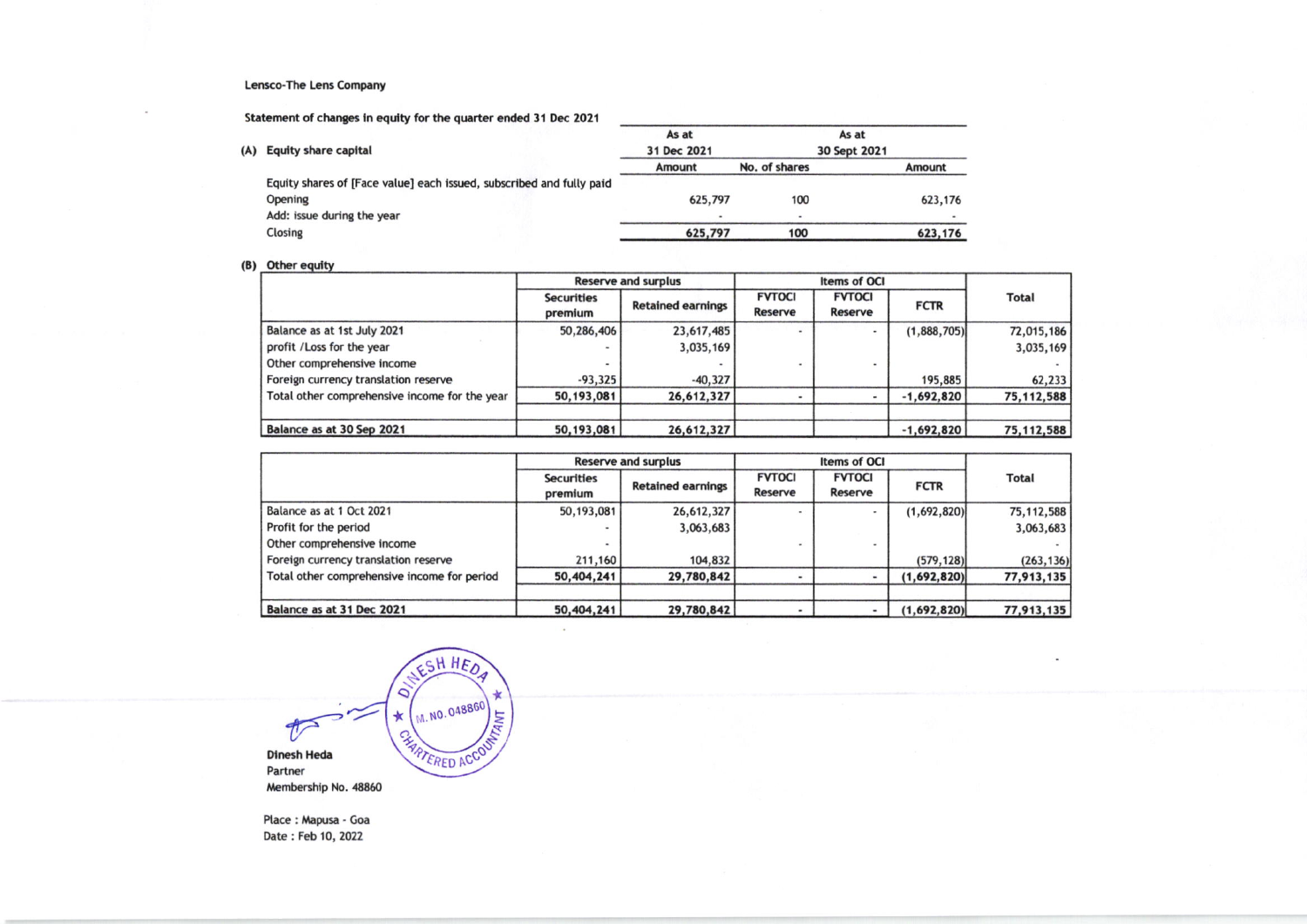#### **Lensco-The Lens Company**

Statement of changes in equity for the quarter ended 31 Dec 2021

|                                                                      | As at       |     | As at                               |
|----------------------------------------------------------------------|-------------|-----|-------------------------------------|
| <b>Equity share capital</b>                                          | 31 Dec 2021 |     | 30 Sept 2021                        |
|                                                                      | Amount      |     | Amount                              |
| Equity shares of [Face value] each issued, subscribed and fully paid |             |     |                                     |
| Opening                                                              |             | 100 | 623,176                             |
| Add: issue during the year                                           |             |     |                                     |
| Closing                                                              |             | 100 | 623,176                             |
|                                                                      | (A)         |     | No. of shares<br>625,797<br>625,797 |

### (B) Other equity

|                                               | <b>Reserve and surplus</b>                               |            |                                                      |  |              |              |  |
|-----------------------------------------------|----------------------------------------------------------|------------|------------------------------------------------------|--|--------------|--------------|--|
|                                               | <b>Securities</b><br><b>Retained earnings</b><br>premium |            | <b>FVTOCI</b><br><b>FVTOCI</b><br>Reserve<br>Reserve |  | <b>FCTR</b>  | <b>Total</b> |  |
| Balance as at 1st July 2021                   | 50,286,406                                               | 23,617,485 |                                                      |  | (1,888,705)  | 72,015,186   |  |
| profit / Loss for the year                    | -                                                        | 3,035,169  |                                                      |  |              | 3,035,169    |  |
| Other comprehensive income                    |                                                          |            |                                                      |  |              |              |  |
| Foreign currency translation reserve          | $-93,325$                                                | $-40,327$  |                                                      |  | 195,885      | 62, 233      |  |
| Total other comprehensive income for the year | 50,193,081                                               | 26,612,327 |                                                      |  | $-1,692,820$ | 75, 112, 588 |  |
| Balance as at 30 Sep 2021                     | 50, 193, 081                                             | 26,612,327 |                                                      |  | $-1,692,820$ | 75, 112, 588 |  |

|                                             |                                                          | <b>Reserve and surplus</b> |                                                      |  |             |              |  |
|---------------------------------------------|----------------------------------------------------------|----------------------------|------------------------------------------------------|--|-------------|--------------|--|
|                                             | <b>Securities</b><br><b>Retained earnings</b><br>premium |                            | <b>FVTOCI</b><br><b>FVTOCI</b><br>Reserve<br>Reserve |  | <b>FCTR</b> | <b>Total</b> |  |
| Balance as at 1 Oct 2021                    | 50,193,081                                               | 26,612,327                 |                                                      |  | (1,692,820) | 75,112,588   |  |
| Profit for the period                       |                                                          | 3,063,683                  |                                                      |  |             | 3,063,683    |  |
| Other comprehensive income                  |                                                          |                            |                                                      |  |             |              |  |
| Foreign currency translation reserve        | 211,160                                                  | 104,832                    |                                                      |  | (579, 128)  | (263, 136)   |  |
| Total other comprehensive income for period | 50,404,241                                               | 29,780,842                 |                                                      |  | (1,692,820) | 77,913,135   |  |
| Balance as at 31 Dec 2021                   | 50,404,241                                               | 29,780,842                 |                                                      |  | (1,692,820) | 77,913,135   |  |

JESH HED  $\circ$ M. NO. 048860 ИТАМТ  $\star$  $\frac{4}{\sqrt{2}}$ **CHARTERED ACCOUNTER Dinesh Heda** Partner Membership No. 48860

Place: Mapusa - Goa Date: Feb 10, 2022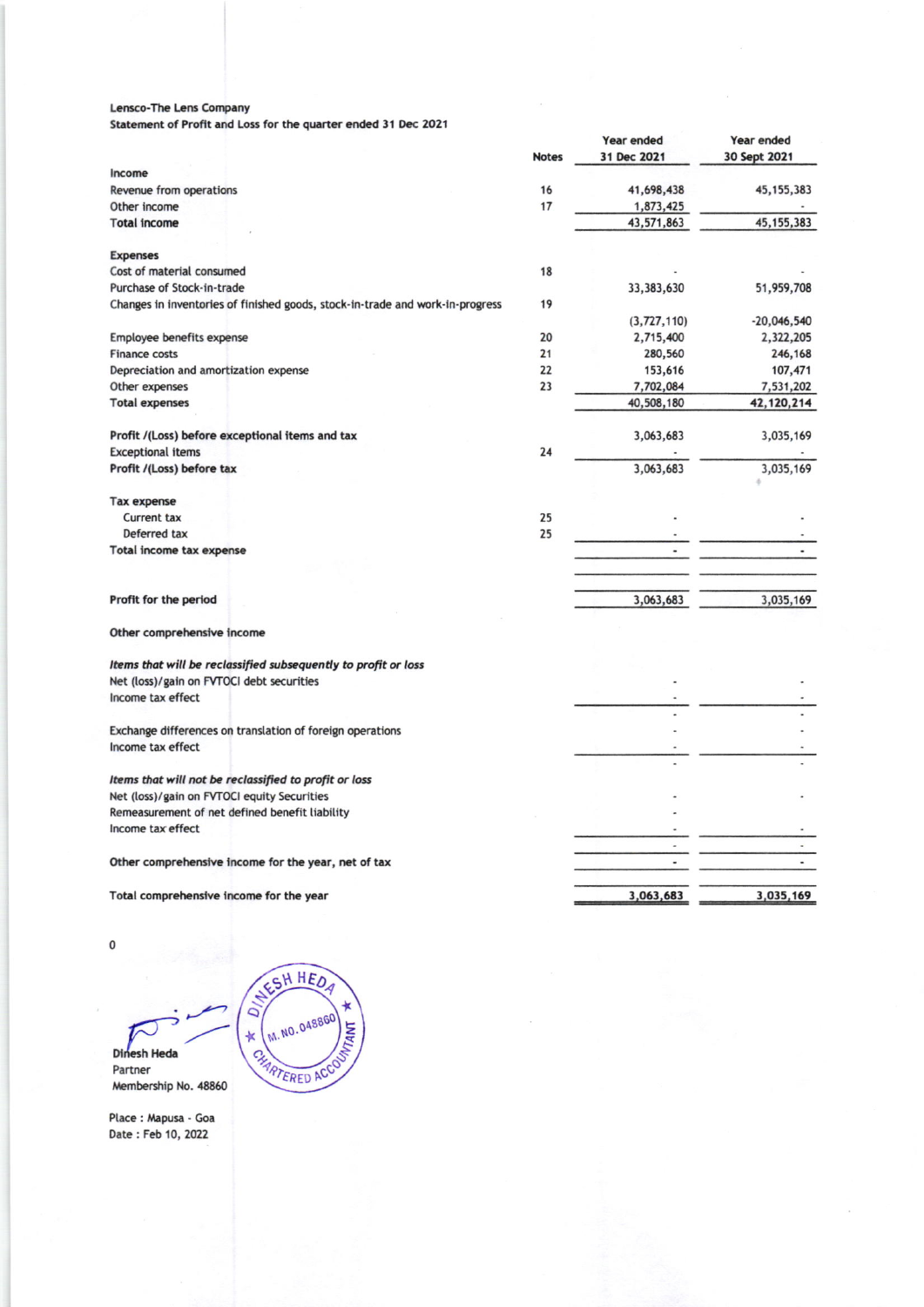### Lensco-The Lens Company

Statement of Profit and Loss for the quarter ended 31 Dec 2021

|                                                                               |              | Year ended               | Year ended    |
|-------------------------------------------------------------------------------|--------------|--------------------------|---------------|
|                                                                               | <b>Notes</b> | 31 Dec 2021              | 30 Sept 2021  |
| Income                                                                        |              |                          |               |
| Revenue from operations                                                       | 16           | 41,698,438               | 45, 155, 383  |
| Other income                                                                  | 17           | 1,873,425                |               |
| <b>Total income</b>                                                           |              | 43,571,863               | 45, 155, 383  |
|                                                                               |              |                          |               |
| <b>Expenses</b>                                                               |              |                          |               |
| Cost of material consumed                                                     | 18           |                          |               |
| Purchase of Stock-in-trade                                                    |              | 33,383,630               | 51,959,708    |
| Changes in inventories of finished goods, stock-in-trade and work-in-progress | 19           |                          |               |
|                                                                               |              | (3,727,110)              | $-20,046,540$ |
| Employee benefits expense                                                     | 20           | 2,715,400                | 2,322,205     |
| <b>Finance costs</b>                                                          | 21           | 280,560                  | 246,168       |
| Depreciation and amortization expense                                         | 22           | 153,616                  | 107,471       |
| Other expenses                                                                | 23           | 7,702,084                | 7,531,202     |
| <b>Total expenses</b>                                                         |              | 40,508,180               | 42,120,214    |
| Profit /(Loss) before exceptional items and tax                               |              | 3,063,683                | 3,035,169     |
| <b>Exceptional items</b>                                                      | 24           |                          |               |
| Profit /(Loss) before tax                                                     |              | 3,063,683                | 3,035,169     |
|                                                                               |              |                          |               |
| <b>Tax expense</b>                                                            |              |                          |               |
| <b>Current tax</b>                                                            | 25           |                          |               |
| Deferred tax                                                                  | 25           |                          |               |
| Total income tax expense                                                      |              | $\overline{\phantom{a}}$ |               |
|                                                                               |              |                          |               |
|                                                                               |              |                          |               |
| Profit for the period                                                         |              | 3,063,683                | 3,035,169     |
|                                                                               |              |                          |               |
| Other comprehensive income                                                    |              |                          |               |
| Items that will be reclassified subsequently to profit or loss                |              |                          |               |
| Net (loss)/gain on FVTOCI debt securities                                     |              |                          |               |
| Income tax effect                                                             |              |                          |               |
|                                                                               |              |                          |               |
| Exchange differences on translation of foreign operations                     |              |                          |               |
| Income tax effect                                                             |              |                          |               |
|                                                                               |              |                          |               |
| Items that will not be reclassified to profit or loss                         |              |                          |               |
| Net (loss)/gain on FVTOCI equity Securities                                   |              |                          |               |
| Remeasurement of net defined benefit liability                                |              |                          |               |
| Income tax effect                                                             |              |                          |               |
|                                                                               |              |                          |               |
| Other comprehensive income for the year, net of tax                           |              |                          |               |
|                                                                               |              |                          |               |
| Total comprehensive income for the year                                       |              | 3,063,683                | 3,035,169     |

 $\pmb{0}$ 

Dinesh Heda Partner Membership No. 48860

NESH HEDA  $\tilde{a}$ M. NO. 048860 **TANT**  $\ast$ CHARTERED ACCO

Place: Mapusa - Goa Date: Feb 10, 2022